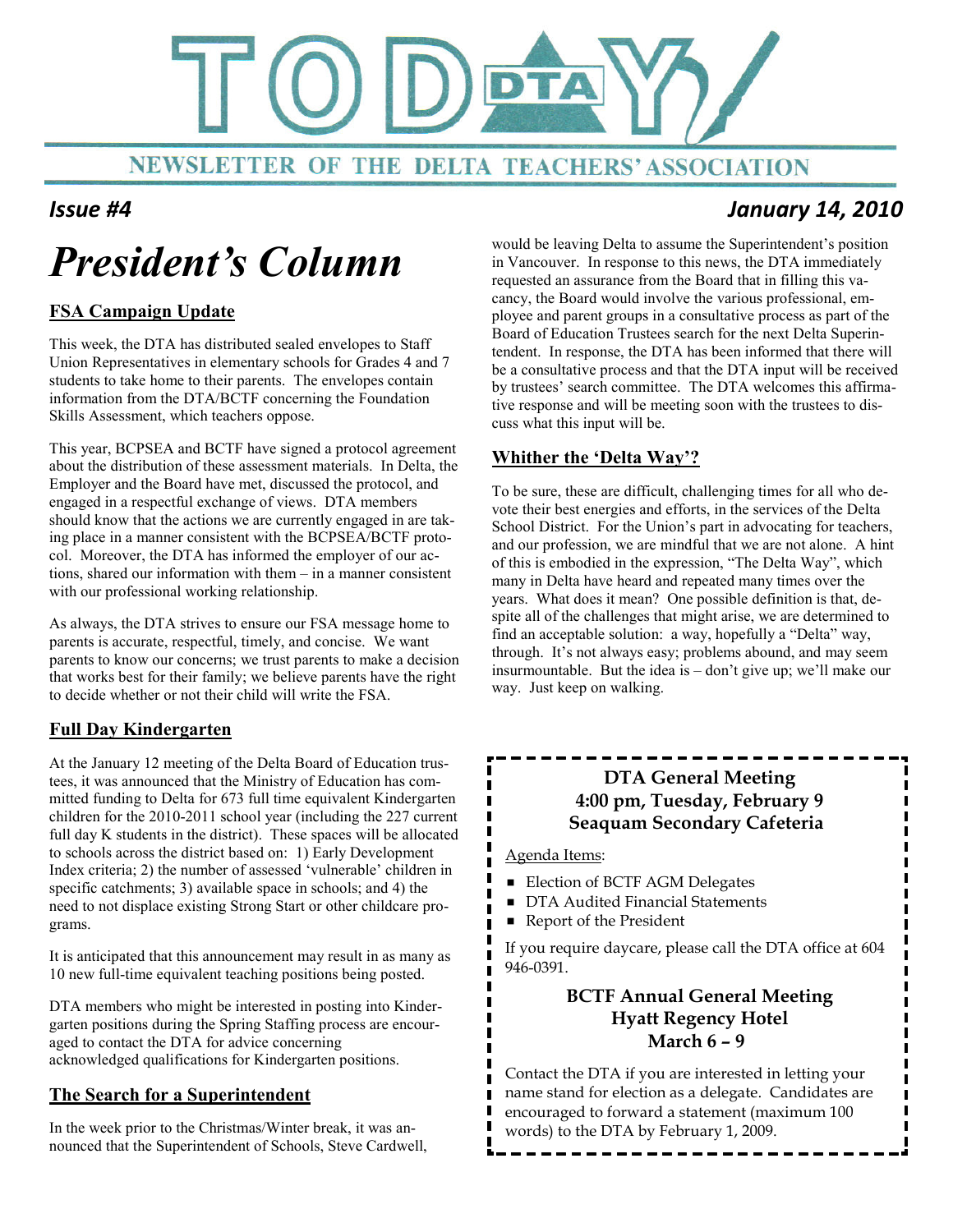

### Issue #4 January 14, 2010

# President's Column

#### FSA Campaign Update

This week, the DTA has distributed sealed envelopes to Staff Union Representatives in elementary schools for Grades 4 and 7 students to take home to their parents. The envelopes contain information from the DTA/BCTF concerning the Foundation Skills Assessment, which teachers oppose.

This year, BCPSEA and BCTF have signed a protocol agreement about the distribution of these assessment materials. In Delta, the Employer and the Board have met, discussed the protocol, and engaged in a respectful exchange of views. DTA members should know that the actions we are currently engaged in are taking place in a manner consistent with the BCPSEA/BCTF protocol. Moreover, the DTA has informed the employer of our actions, shared our information with them – in a manner consistent with our professional working relationship.

As always, the DTA strives to ensure our FSA message home to parents is accurate, respectful, timely, and concise. We want parents to know our concerns; we trust parents to make a decision that works best for their family; we believe parents have the right to decide whether or not their child will write the FSA.

#### Full Day Kindergarten

At the January 12 meeting of the Delta Board of Education trustees, it was announced that the Ministry of Education has committed funding to Delta for 673 full time equivalent Kindergarten children for the 2010-2011 school year (including the 227 current full day K students in the district). These spaces will be allocated to schools across the district based on: 1) Early Development Index criteria; 2) the number of assessed 'vulnerable' children in specific catchments; 3) available space in schools; and 4) the need to not displace existing Strong Start or other childcare programs.

It is anticipated that this announcement may result in as many as 10 new full-time equivalent teaching positions being posted.

DTA members who might be interested in posting into Kindergarten positions during the Spring Staffing process are encouraged to contact the DTA for advice concerning acknowledged qualifications for Kindergarten positions.

#### The Search for a Superintendent

In the week prior to the Christmas/Winter break, it was announced that the Superintendent of Schools, Steve Cardwell, would be leaving Delta to assume the Superintendent's position in Vancouver. In response to this news, the DTA immediately requested an assurance from the Board that in filling this vacancy, the Board would involve the various professional, employee and parent groups in a consultative process as part of the Board of Education Trustees search for the next Delta Superintendent. In response, the DTA has been informed that there will be a consultative process and that the DTA input will be received by trustees' search committee. The DTA welcomes this affirmative response and will be meeting soon with the trustees to discuss what this input will be.

#### Whither the 'Delta Way'?

To be sure, these are difficult, challenging times for all who devote their best energies and efforts, in the services of the Delta School District. For the Union's part in advocating for teachers, and our profession, we are mindful that we are not alone. A hint of this is embodied in the expression, "The Delta Way", which many in Delta have heard and repeated many times over the years. What does it mean? One possible definition is that, despite all of the challenges that might arise, we are determined to find an acceptable solution: a way, hopefully a "Delta" way, through. It's not always easy; problems abound, and may seem insurmountable. But the idea is – don't give up; we'll make our way. Just keep on walking.

### DTA General Meeting 4:00 pm, Tuesday, February 9 Seaquam Secondary Cafeteria

Agenda Items:

 $\blacksquare$ 

- Election of BCTF AGM Delegates
- **DTA Audited Financial Statements**
- Report of the President

If you require daycare, please call the DTA office at 604 946-0391.

#### BCTF Annual General Meeting Hyatt Regency Hotel March 6 – 9

Contact the DTA if you are interested in letting your name stand for election as a delegate. Candidates are encouraged to forward a statement (maximum 100 words) to the DTA by February 1, 2009.